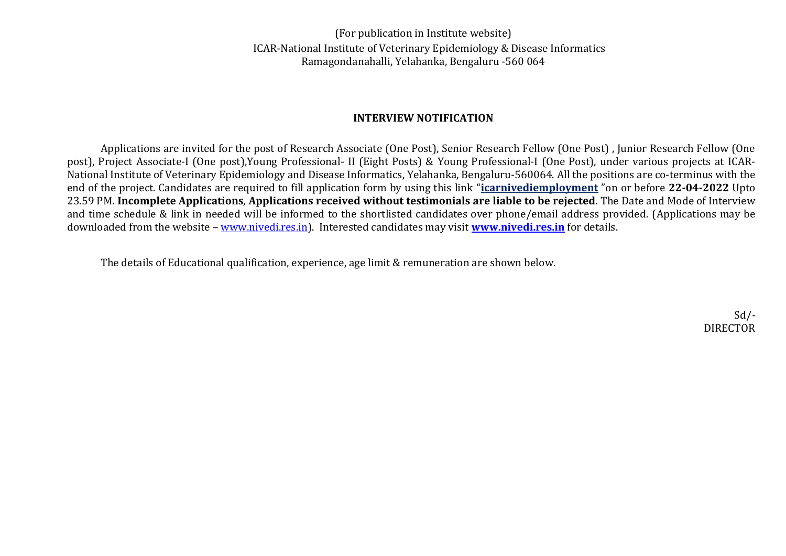(For publication in Institute website) ICAR-National Institute of Veterinary Epidemiology & Disease Informatics Ramagondanahalli, Yelahanka, Bengaluru -560 064

## **INTERVIEW NOTIFICATION**

Applications are invited for the post of Research Associate (One Post), Senior Research Fellow (One Post) , Junior Research Fellow (One post), Project Associate-I (One post),Young Professional- II (Eight Posts) & Young Professional-I (One Post), under various projects at ICAR-National Institute of Veterinary Epidemiology and Disease Informatics, Yelahanka, Bengaluru-560064. All the positions are co-terminus with the end of the project. Candidates are required to fill application form by using this link "**[icarnivediemployment](https://forms.gle/Qr3BRRkGW15XdUda6)** "on or before **22-04-2022** Upto 23.59 PM. **Incomplete Applications**, **Applications received without testimonials are liable to be rejected**. The Date and Mode of Interview and time schedule & link in needed will be informed to the shortlisted candidates over phone/email address provided. (Applications may be downloaded from the website – [www.nivedi.res.in\)](http://www.nivedi.res.in/). Interested candidates may visit **[www.nivedi.res.in](http://www.nivedi.res.in/)** for details.

The details of Educational qualification, experience, age limit & remuneration are shown below.

 $Sd$  /-DIRECTOR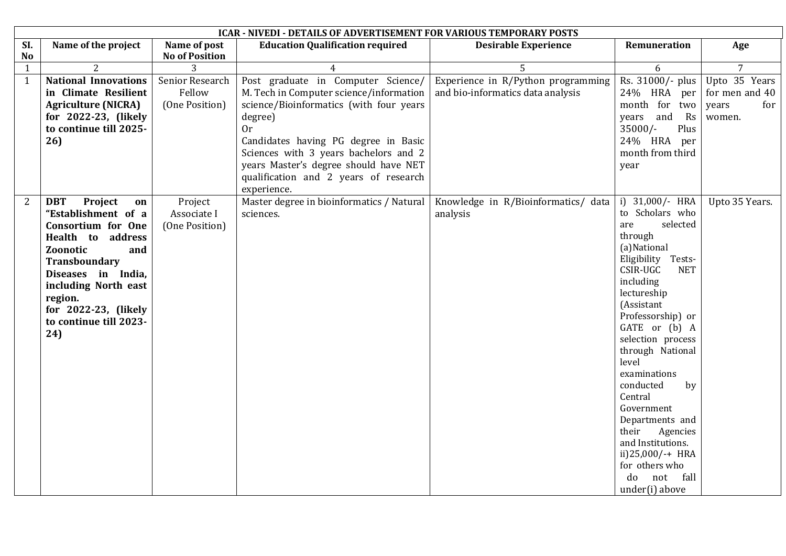| <b>ICAR - NIVEDI - DETAILS OF ADVERTISEMENT FOR VARIOUS TEMPORARY POSTS</b>                                                                                       |                 |  |  |  |  |  |  |
|-------------------------------------------------------------------------------------------------------------------------------------------------------------------|-----------------|--|--|--|--|--|--|
| SI.<br>Name of the project<br>Name of post<br><b>Education Qualification required</b><br><b>Desirable Experience</b><br>Remuneration                              | Age             |  |  |  |  |  |  |
| <b>No of Position</b><br><b>No</b>                                                                                                                                |                 |  |  |  |  |  |  |
| $\overline{2}$<br>5<br>$\mathbf{1}$<br>3<br>$\overline{4}$<br>6                                                                                                   | $7\overline{ }$ |  |  |  |  |  |  |
| <b>National Innovations</b><br>Post graduate in Computer Science/<br>$\mathbf{1}$<br>Senior Research<br>Experience in R/Python programming<br>Rs. 31000/- plus    | Upto 35 Years   |  |  |  |  |  |  |
| M. Tech in Computer science/information<br>in Climate Resilient<br>Fellow<br>and bio-informatics data analysis<br>24% HRA per                                     | for men and 40  |  |  |  |  |  |  |
| science/Bioinformatics (with four years<br><b>Agriculture (NICRA)</b><br>(One Position)<br>month for two                                                          | years<br>for    |  |  |  |  |  |  |
| for 2022-23, (likely<br>degree)<br>years and<br>Rs                                                                                                                | women.          |  |  |  |  |  |  |
| to continue till 2025-<br>$35000/-$<br>Plus<br>0r                                                                                                                 |                 |  |  |  |  |  |  |
| 26)<br>Candidates having PG degree in Basic<br>24% HRA per                                                                                                        |                 |  |  |  |  |  |  |
| Sciences with 3 years bachelors and 2<br>month from third                                                                                                         |                 |  |  |  |  |  |  |
| years Master's degree should have NET<br>year                                                                                                                     |                 |  |  |  |  |  |  |
| qualification and 2 years of research                                                                                                                             |                 |  |  |  |  |  |  |
| experience.                                                                                                                                                       |                 |  |  |  |  |  |  |
| $\overline{2}$<br>Master degree in bioinformatics / Natural<br>Knowledge in R/Bioinformatics/ data<br>i) $31,000/-$ HRA<br><b>DBT</b><br>Project<br>Project<br>on | Upto 35 Years.  |  |  |  |  |  |  |
| to Scholars who<br>"Establishment of a<br>Associate I<br>sciences.<br>analysis                                                                                    |                 |  |  |  |  |  |  |
| selected<br>are<br><b>Consortium for One</b><br>(One Position)                                                                                                    |                 |  |  |  |  |  |  |
| through<br>Health to address                                                                                                                                      |                 |  |  |  |  |  |  |
| (a)National<br>Zoonotic<br>and                                                                                                                                    |                 |  |  |  |  |  |  |
| Eligibility Tests-<br>Transboundary                                                                                                                               |                 |  |  |  |  |  |  |
| CSIR-UGC<br><b>NET</b><br>Diseases in India,                                                                                                                      |                 |  |  |  |  |  |  |
| including<br>including North east                                                                                                                                 |                 |  |  |  |  |  |  |
| lectureship<br>region.                                                                                                                                            |                 |  |  |  |  |  |  |
| (Assistant<br>for 2022-23, (likely                                                                                                                                |                 |  |  |  |  |  |  |
| Professorship) or<br>to continue till 2023-                                                                                                                       |                 |  |  |  |  |  |  |
| GATE or (b) A<br>24)                                                                                                                                              |                 |  |  |  |  |  |  |
| selection process                                                                                                                                                 |                 |  |  |  |  |  |  |
| through National                                                                                                                                                  |                 |  |  |  |  |  |  |
| level                                                                                                                                                             |                 |  |  |  |  |  |  |
| examinations                                                                                                                                                      |                 |  |  |  |  |  |  |
| conducted<br>by<br>Central                                                                                                                                        |                 |  |  |  |  |  |  |
| Government                                                                                                                                                        |                 |  |  |  |  |  |  |
| Departments and                                                                                                                                                   |                 |  |  |  |  |  |  |
| their<br>Agencies                                                                                                                                                 |                 |  |  |  |  |  |  |
| and Institutions.                                                                                                                                                 |                 |  |  |  |  |  |  |
| ii)25,000/-+ HRA                                                                                                                                                  |                 |  |  |  |  |  |  |
| for others who                                                                                                                                                    |                 |  |  |  |  |  |  |
| do not fall                                                                                                                                                       |                 |  |  |  |  |  |  |
| under(i) above                                                                                                                                                    |                 |  |  |  |  |  |  |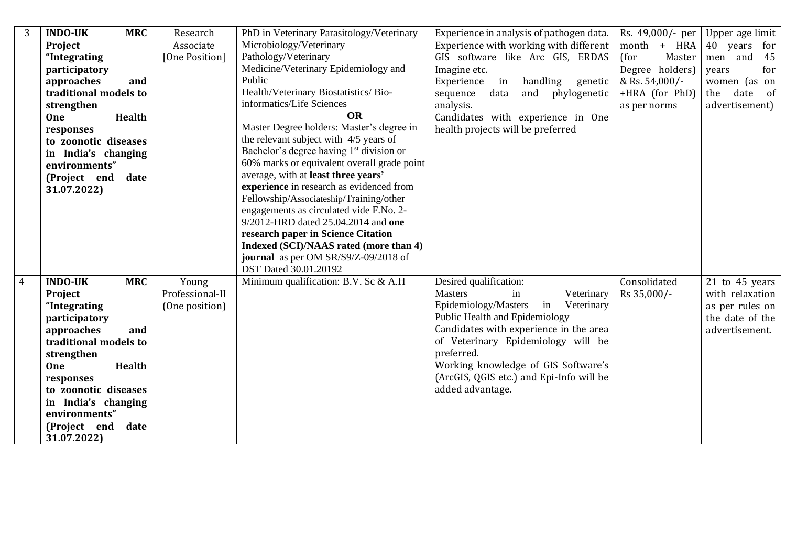| 3              | <b>INDO-UK</b><br><b>MRC</b> | Research        | PhD in Veterinary Parasitology/Veterinary            | Experience in analysis of pathogen data. | Rs. 49,000/- per | Upper age limit |
|----------------|------------------------------|-----------------|------------------------------------------------------|------------------------------------------|------------------|-----------------|
|                | Project                      | Associate       | Microbiology/Veterinary                              | Experience with working with different   | month + HRA      | 40 years<br>for |
|                | "Integrating                 | [One Position]  | Pathology/Veterinary                                 | GIS software like Arc GIS, ERDAS         | (for<br>Master   | 45<br>men and   |
|                | participatory                |                 | Medicine/Veterinary Epidemiology and                 | Imagine etc.                             | Degree holders)  | for<br>years    |
|                | approaches<br>and            |                 | Public                                               | handling<br>Experience<br>in<br>genetic  | & Rs. $54,000/-$ | women (as on    |
|                | traditional models to        |                 | Health/Veterinary Biostatistics/Bio-                 | phylogenetic<br>sequence<br>data<br>and  | +HRA (for PhD)   | date of<br>the  |
|                | strengthen                   |                 | informatics/Life Sciences                            | analysis.                                | as per norms     | advertisement)  |
|                | <b>One</b><br><b>Health</b>  |                 | <b>OR</b>                                            | Candidates with experience in One        |                  |                 |
|                | responses                    |                 | Master Degree holders: Master's degree in            | health projects will be preferred        |                  |                 |
|                | to zoonotic diseases         |                 | the relevant subject with 4/5 years of               |                                          |                  |                 |
|                | in India's changing          |                 | Bachelor's degree having 1 <sup>st</sup> division or |                                          |                  |                 |
|                | environments"                |                 | 60% marks or equivalent overall grade point          |                                          |                  |                 |
|                | date<br>(Project end         |                 | average, with at least three years'                  |                                          |                  |                 |
|                | 31.07.2022)                  |                 | experience in research as evidenced from             |                                          |                  |                 |
|                |                              |                 | Fellowship/Associateship/Training/other              |                                          |                  |                 |
|                |                              |                 | engagements as circulated vide F.No. 2-              |                                          |                  |                 |
|                |                              |                 | 9/2012-HRD dated 25.04.2014 and one                  |                                          |                  |                 |
|                |                              |                 | research paper in Science Citation                   |                                          |                  |                 |
|                |                              |                 | Indexed (SCI)/NAAS rated (more than 4)               |                                          |                  |                 |
|                |                              |                 | journal as per OM SR/S9/Z-09/2018 of                 |                                          |                  |                 |
|                |                              |                 | DST Dated 30.01.20192                                |                                          |                  |                 |
| $\overline{4}$ | <b>INDO-UK</b><br><b>MRC</b> | Young           | Minimum qualification: B.V. Sc & A.H                 | Desired qualification:                   | Consolidated     | 21 to 45 years  |
|                | Project                      | Professional-II |                                                      | <b>Masters</b><br>Veterinary<br>in       | Rs 35,000/-      | with relaxation |
|                | "Integrating                 | (One position)  |                                                      | Epidemiology/Masters<br>in<br>Veterinary |                  | as per rules on |
|                | participatory                |                 |                                                      | Public Health and Epidemiology           |                  | the date of the |
|                | approaches<br>and            |                 |                                                      | Candidates with experience in the area   |                  | advertisement.  |
|                | traditional models to        |                 |                                                      | of Veterinary Epidemiology will be       |                  |                 |
|                | strengthen                   |                 |                                                      | preferred.                               |                  |                 |
|                | <b>Health</b><br>One         |                 |                                                      | Working knowledge of GIS Software's      |                  |                 |
|                | responses                    |                 |                                                      | (ArcGIS, QGIS etc.) and Epi-Info will be |                  |                 |
|                | to zoonotic diseases         |                 |                                                      | added advantage.                         |                  |                 |
|                | in India's changing          |                 |                                                      |                                          |                  |                 |
|                | environments"                |                 |                                                      |                                          |                  |                 |
|                | (Project end<br>date         |                 |                                                      |                                          |                  |                 |
|                | 31.07.2022)                  |                 |                                                      |                                          |                  |                 |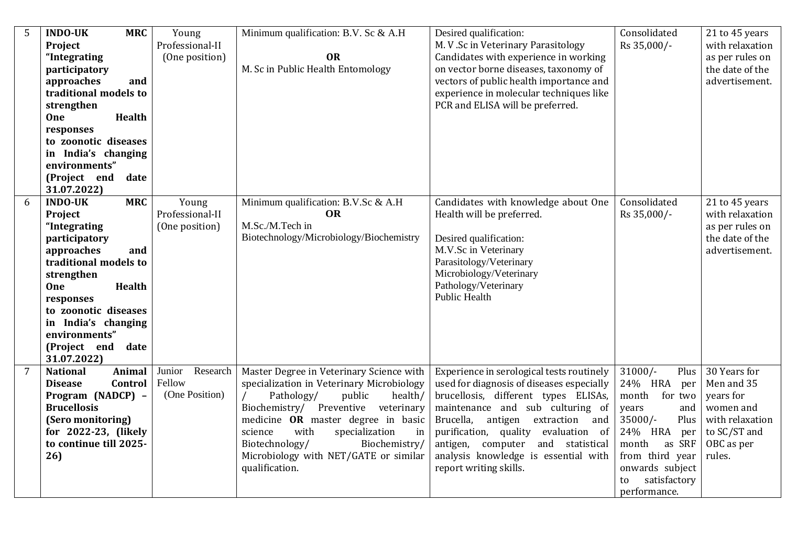| 5              | <b>INDO-UK</b><br><b>MRC</b><br>Project<br>"Integrating<br>participatory<br>approaches<br>and<br>traditional models to<br>strengthen<br>One<br><b>Health</b><br>responses<br>to zoonotic diseases<br>India's changing<br>in<br>environments"<br>(Project end<br>date<br>31.07.2022)     | Young<br>Professional-II<br>(One position)     | Minimum qualification: B.V. Sc & A.H<br><b>OR</b><br>M. Sc in Public Health Entomology                                                                                                                                                                                                                                                         | Desired qualification:<br>M. V .Sc in Veterinary Parasitology<br>Candidates with experience in working<br>on vector borne diseases, taxonomy of<br>vectors of public health importance and<br>experience in molecular techniques like<br>PCR and ELISA will be preferred.                                                                                           | Consolidated<br>Rs 35,000/-                                                                                                                                                                                   | 21 to 45 years<br>with relaxation<br>as per rules on<br>the date of the<br>advertisement.                       |
|----------------|-----------------------------------------------------------------------------------------------------------------------------------------------------------------------------------------------------------------------------------------------------------------------------------------|------------------------------------------------|------------------------------------------------------------------------------------------------------------------------------------------------------------------------------------------------------------------------------------------------------------------------------------------------------------------------------------------------|---------------------------------------------------------------------------------------------------------------------------------------------------------------------------------------------------------------------------------------------------------------------------------------------------------------------------------------------------------------------|---------------------------------------------------------------------------------------------------------------------------------------------------------------------------------------------------------------|-----------------------------------------------------------------------------------------------------------------|
| 6              | <b>INDO-UK</b><br><b>MRC</b><br>Project<br>"Integrating<br>participatory<br>approaches<br>and<br>traditional models to<br>strengthen<br><b>One</b><br><b>Health</b><br>responses<br>to zoonotic diseases<br>in India's changing<br>environments"<br>(Project end<br>date<br>31.07.2022) | Young<br>Professional-II<br>(One position)     | Minimum qualification: B.V.Sc & A.H<br>OR<br>M.Sc./M.Tech in<br>Biotechnology/Microbiology/Biochemistry                                                                                                                                                                                                                                        | Candidates with knowledge about One<br>Health will be preferred.<br>Desired qualification:<br>M.V.Sc in Veterinary<br>Parasitology/Veterinary<br>Microbiology/Veterinary<br>Pathology/Veterinary<br><b>Public Health</b>                                                                                                                                            | Consolidated<br>Rs 35,000/-                                                                                                                                                                                   | 21 to 45 years<br>with relaxation<br>as per rules on<br>the date of the<br>advertisement.                       |
| $\overline{7}$ | <b>National</b><br>Animal<br>Control<br><b>Disease</b><br>Program (NADCP) -<br><b>Brucellosis</b><br>(Sero monitoring)<br>for 2022-23, (likely<br>to continue till 2025-<br>26                                                                                                          | Research<br>Junior<br>Fellow<br>(One Position) | Master Degree in Veterinary Science with<br>specialization in Veterinary Microbiology<br>Pathology/<br>public<br>health/<br>Biochemistry/ Preventive veterinary<br>medicine OR master degree in basic<br>with<br>science<br>specialization<br>in<br>Biotechnology/<br>Biochemistry/<br>Microbiology with NET/GATE or similar<br>qualification. | Experience in serological tests routinely<br>used for diagnosis of diseases especially<br>brucellosis, different types ELISAs,<br>maintenance and sub culturing of<br>Brucella,<br>antigen extraction<br>and<br>purification, quality<br>evaluation of<br>computer<br>antigen,<br>and statistical<br>analysis knowledge is essential with<br>report writing skills. | $31000/-$<br>Plus<br>24% HRA<br>per<br>month<br>for two<br>and<br>years<br>$35000/-$<br>Plus<br>24% HRA<br>per<br>month<br>as SRF<br>from third year<br>onwards subject<br>satisfactory<br>to<br>performance. | 30 Years for<br>Men and 35<br>years for<br>women and<br>with relaxation<br>to SC/ST and<br>OBC as per<br>rules. |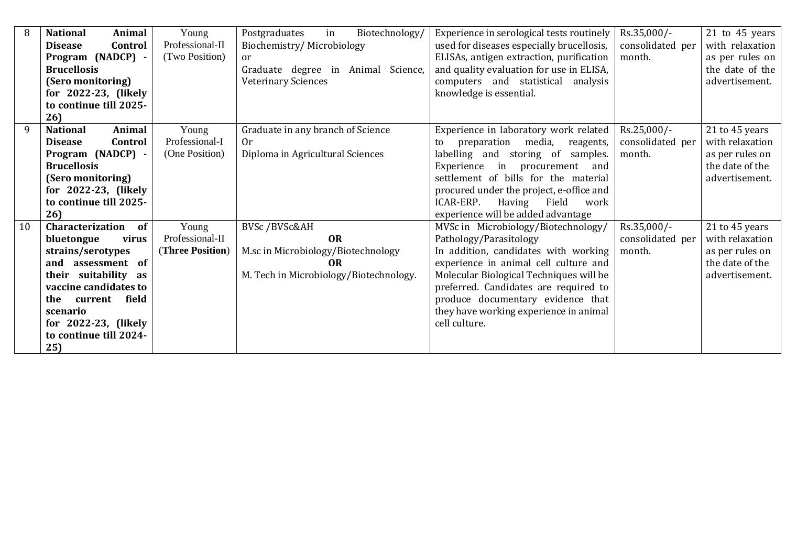| 8                      | <b>National</b><br>Animal | Young            | Postgraduates<br>in<br>Biotechnology/  | Experience in serological tests routinely | Rs.35,000/-      | 21 to 45 years  |
|------------------------|---------------------------|------------------|----------------------------------------|-------------------------------------------|------------------|-----------------|
|                        | Control<br><b>Disease</b> | Professional-II  | Biochemistry/Microbiology              |                                           |                  | with relaxation |
|                        |                           | (Two Position)   |                                        | used for diseases especially brucellosis, | consolidated per |                 |
|                        | Program (NADCP) -         |                  | or                                     | ELISAs, antigen extraction, purification  | month.           | as per rules on |
|                        | <b>Brucellosis</b>        |                  | Graduate degree in Animal Science,     | and quality evaluation for use in ELISA,  |                  | the date of the |
|                        | (Sero monitoring)         |                  | <b>Veterinary Sciences</b>             | computers and statistical analysis        |                  | advertisement.  |
|                        | for 2022-23, (likely      |                  |                                        | knowledge is essential.                   |                  |                 |
|                        | to continue till 2025-    |                  |                                        |                                           |                  |                 |
|                        | 26                        |                  |                                        |                                           |                  |                 |
| 9                      | <b>National</b><br>Animal | Young            | Graduate in any branch of Science      | Experience in laboratory work related     | Rs.25,000/-      | 21 to 45 years  |
|                        | Control<br><b>Disease</b> | Professional-I   | 0r                                     | preparation media,<br>reagents,<br>to     | consolidated per | with relaxation |
|                        | Program (NADCP) -         | (One Position)   | Diploma in Agricultural Sciences       | labelling and storing of samples.         | month.           | as per rules on |
|                        | <b>Brucellosis</b>        |                  |                                        | Experience<br>in procurement<br>and       |                  | the date of the |
|                        | (Sero monitoring)         |                  |                                        | settlement of bills for the material      |                  | advertisement.  |
|                        | for 2022-23, (likely      |                  |                                        | procured under the project, e-office and  |                  |                 |
| to continue till 2025- |                           |                  |                                        | ICAR-ERP.<br>Having<br>Field<br>work      |                  |                 |
|                        | 26                        |                  |                                        | experience will be added advantage        |                  |                 |
| 10                     | Characterization<br>of    | Young            | BVSc /BVSc&AH                          | MVSc in Microbiology/Biotechnology/       | Rs.35,000/-      | 21 to 45 years  |
|                        | bluetongue<br>virus       | Professional-II  | <b>OR</b>                              | Pathology/Parasitology                    | consolidated per | with relaxation |
|                        | strains/serotypes         | (Three Position) | M.sc in Microbiology/Biotechnology     | In addition, candidates with working      | month.           | as per rules on |
|                        | and assessment of         |                  | 0 <sub>R</sub>                         | experience in animal cell culture and     |                  | the date of the |
|                        | their suitability as      |                  | M. Tech in Microbiology/Biotechnology. | Molecular Biological Techniques will be   |                  | advertisement.  |
|                        | vaccine candidates to     |                  |                                        | preferred. Candidates are required to     |                  |                 |
|                        | field<br>the<br>current   |                  |                                        | produce documentary evidence that         |                  |                 |
|                        | scenario                  |                  |                                        | they have working experience in animal    |                  |                 |
|                        | for $2022-23$ , (likely   |                  |                                        | cell culture.                             |                  |                 |
|                        | to continue till 2024-    |                  |                                        |                                           |                  |                 |
|                        | 25)                       |                  |                                        |                                           |                  |                 |